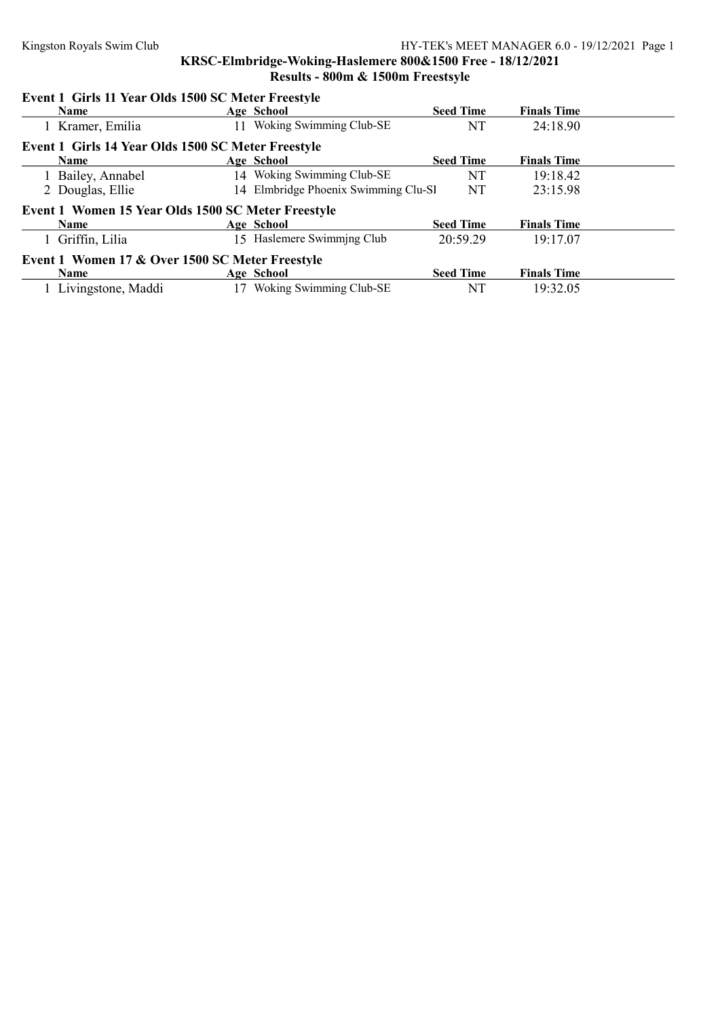KRSC-Elmbridge-Woking-Haslemere 800&1500 Free - 18/12/2021 Results - 800m & 1500m Freestsyle

## Event 1 Girls 11 Year Olds 1500 SC Meter Freestyle

| <b>Name</b>                                        | Age School                           | <b>Seed Time</b> | <b>Finals Time</b> |  |  |  |
|----------------------------------------------------|--------------------------------------|------------------|--------------------|--|--|--|
| 1 Kramer, Emilia                                   | Woking Swimming Club-SE<br>11        | NT               | 24:18.90           |  |  |  |
| Event 1 Girls 14 Year Olds 1500 SC Meter Freestyle |                                      |                  |                    |  |  |  |
| <b>Name</b>                                        | Age School                           | <b>Seed Time</b> | <b>Finals Time</b> |  |  |  |
| 1 Bailey, Annabel                                  | 14 Woking Swimming Club-SE           | NT               | 19:18.42           |  |  |  |
| 2 Douglas, Ellie                                   | 14 Elmbridge Phoenix Swimming Clu-Sl | NT               | 23:15.98           |  |  |  |
| Event 1 Women 15 Year Olds 1500 SC Meter Freestyle |                                      |                  |                    |  |  |  |
| <b>Name</b>                                        | Age School                           | <b>Seed Time</b> | <b>Finals Time</b> |  |  |  |
| 1 Griffin, Lilia                                   | 15 Haslemere Swimming Club           | 20:59.29         | 19:17.07           |  |  |  |
| Event 1 Women 17 & Over 1500 SC Meter Freestyle    |                                      |                  |                    |  |  |  |
| <b>Name</b>                                        | Age School                           | <b>Seed Time</b> | <b>Finals Time</b> |  |  |  |
| Livingstone, Maddi                                 | Woking Swimming Club-SE              | NT               | 19:32.05           |  |  |  |